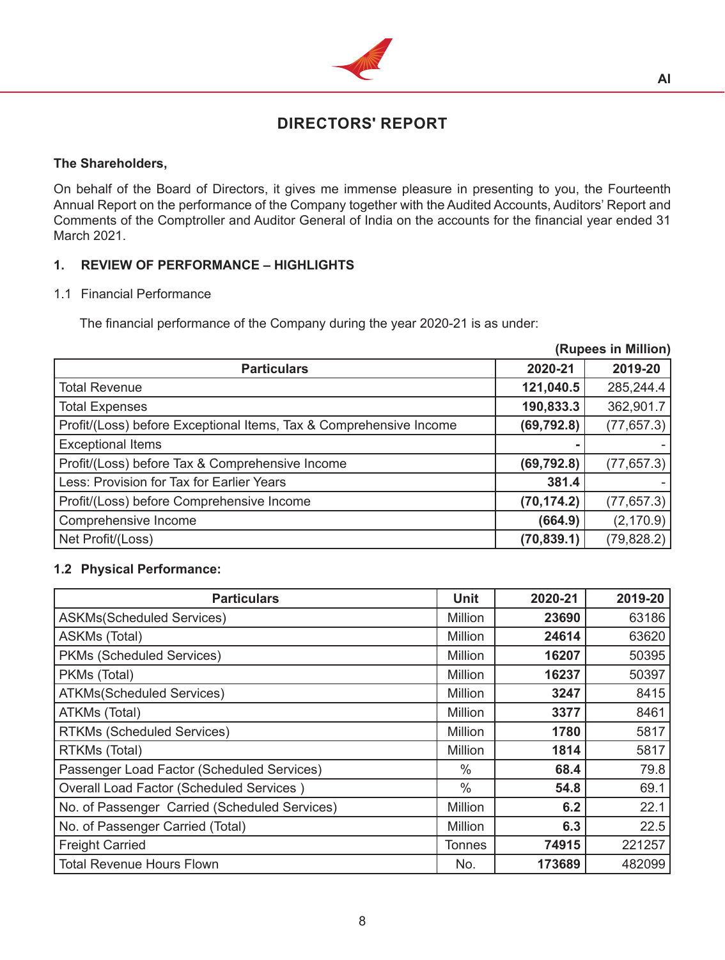

# **DIRECTORS' REPORT**

## **The Shareholders,**

On behalf of the Board of Directors, it gives me immense pleasure in presenting to you, the Fourteenth Annual Report on the performance of the Company together with the Audited Accounts, Auditors' Report and Comments of the Comptroller and Auditor General of India on the accounts for the financial year ended 31 March 2021.

## **1. REVIEW OF PERFORMANCE – HIGHLIGHTS**

## 1.1 Financial Performance

The financial performance of the Company during the year 2020-21 is as under: 

|                                                                    |             | (Rupees in Million) |
|--------------------------------------------------------------------|-------------|---------------------|
| <b>Particulars</b>                                                 | 2020-21     | 2019-20             |
| <b>Total Revenue</b>                                               | 121,040.5   | 285,244.4           |
| <b>Total Expenses</b>                                              | 190,833.3   | 362,901.7           |
| Profit/(Loss) before Exceptional Items, Tax & Comprehensive Income | (69, 792.8) | (77, 657.3)         |
| <b>Exceptional Items</b>                                           |             |                     |
| Profit/(Loss) before Tax & Comprehensive Income                    | (69, 792.8) | (77, 657.3)         |
| Less: Provision for Tax for Earlier Years                          | 381.4       |                     |
| Profit/(Loss) before Comprehensive Income                          | (70, 174.2) | (77, 657.3)         |
| Comprehensive Income                                               | (664.9)     | (2, 170.9)          |
| Net Profit/(Loss)                                                  | (70, 839.1) | (79, 828.2)         |

## **1.2 Physical Performance:**

| <b>Particulars</b>                              | Unit           | 2020-21 | 2019-20 |
|-------------------------------------------------|----------------|---------|---------|
| <b>ASKMs(Scheduled Services)</b>                | Million        | 23690   | 63186   |
| ASKMs (Total)                                   | Million        | 24614   | 63620   |
| PKMs (Scheduled Services)                       | <b>Million</b> | 16207   | 50395   |
| PKMs (Total)                                    | Million        | 16237   | 50397   |
| <b>ATKMs(Scheduled Services)</b>                | <b>Million</b> | 3247    | 8415    |
| ATKMs (Total)                                   | Million        | 3377    | 8461    |
| <b>RTKMs (Scheduled Services)</b>               | Million        | 1780    | 5817    |
| RTKMs (Total)                                   | Million        | 1814    | 5817    |
| Passenger Load Factor (Scheduled Services)      | $\%$           | 68.4    | 79.8    |
| <b>Overall Load Factor (Scheduled Services)</b> | $\frac{0}{0}$  | 54.8    | 69.1    |
| No. of Passenger Carried (Scheduled Services)   | Million        | 6.2     | 22.1    |
| No. of Passenger Carried (Total)                | <b>Million</b> | 6.3     | 22.5    |
| <b>Freight Carried</b>                          | Tonnes         | 74915   | 221257  |
| <b>Total Revenue Hours Flown</b>                | No.            | 173689  | 482099  |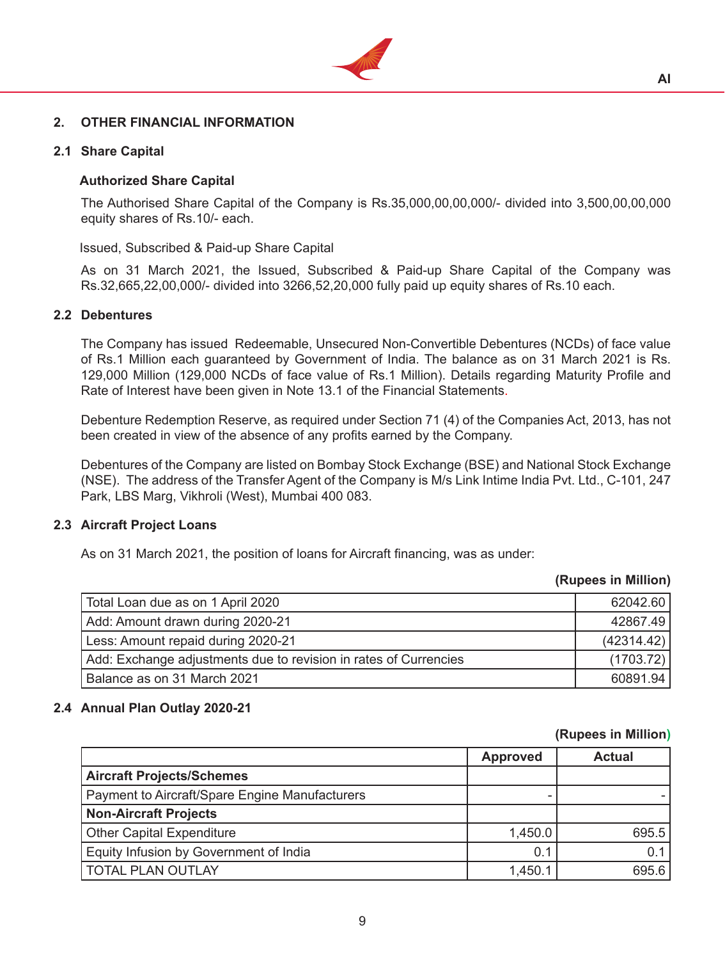

#### **2. OTHER FINANCIAL INFORMATION**

## **2.1 Share Capital**

#### **Authorized Share Capital**

 The Authorised Share Capital of the Company is Rs.35,000,00,00,000/- divided into 3,500,00,00,000 equity shares of Rs.10/- each.

Issued, Subscribed & Paid-up Share Capital

 As on 31 March 2021, the Issued, Subscribed & Paid-up Share Capital of the Company was Rs.32,665,22,00,000/- divided into 3266,52,20,000 fully paid up equity shares of Rs.10 each.

#### **2.2 Debentures**

 The Company has issued Redeemable, Unsecured Non-Convertible Debentures (NCDs) of face value of Rs.1 Million each guaranteed by Government of India. The balance as on 31 March 2021 is Rs. 129,000 Million (129,000 NCDs of face value of Rs.1 Million). Details regarding Maturity Profile and Rate of Interest have been given in Note 13.1 of the Financial Statements.

Debenture Redemption Reserve, as required under Section 71 (4) of the Companies Act, 2013, has not been created in view of the absence of any profits earned by the Company.

 Debentures of the Company are listed on Bombay Stock Exchange (BSE) and National Stock Exchange (NSE). The address of the Transfer Agent of the Company is M/s Link Intime India Pvt. Ltd., C-101, 247 Park, LBS Marg, Vikhroli (West), Mumbai 400 083.

#### **2.3 Aircraft Project Loans**

 As on 31 March 2021, the position of loans for Aircraft financing, was as under:

#### **(Rupees in Million)**

| Total Loan due as on 1 April 2020                                | 62042.60   |
|------------------------------------------------------------------|------------|
| Add: Amount drawn during 2020-21                                 | 42867.49   |
| Less: Amount repaid during 2020-21                               | (42314.42) |
| Add: Exchange adjustments due to revision in rates of Currencies | (1703.72)  |
| Balance as on 31 March 2021                                      | 60891.94   |

#### **2.4 Annual Plan Outlay 2020-21**

#### **(Rupees in Million)**

|                                                | <b>Approved</b> | <b>Actual</b> |
|------------------------------------------------|-----------------|---------------|
| <b>Aircraft Projects/Schemes</b>               |                 |               |
| Payment to Aircraft/Spare Engine Manufacturers |                 |               |
| <b>Non-Aircraft Projects</b>                   |                 |               |
| <b>Other Capital Expenditure</b>               | 1,450.0         | 695.5         |
| Equity Infusion by Government of India         | 0.1             | 0.1           |
| <b>TOTAL PLAN OUTLAY</b>                       | 1,450.1         | 695.6         |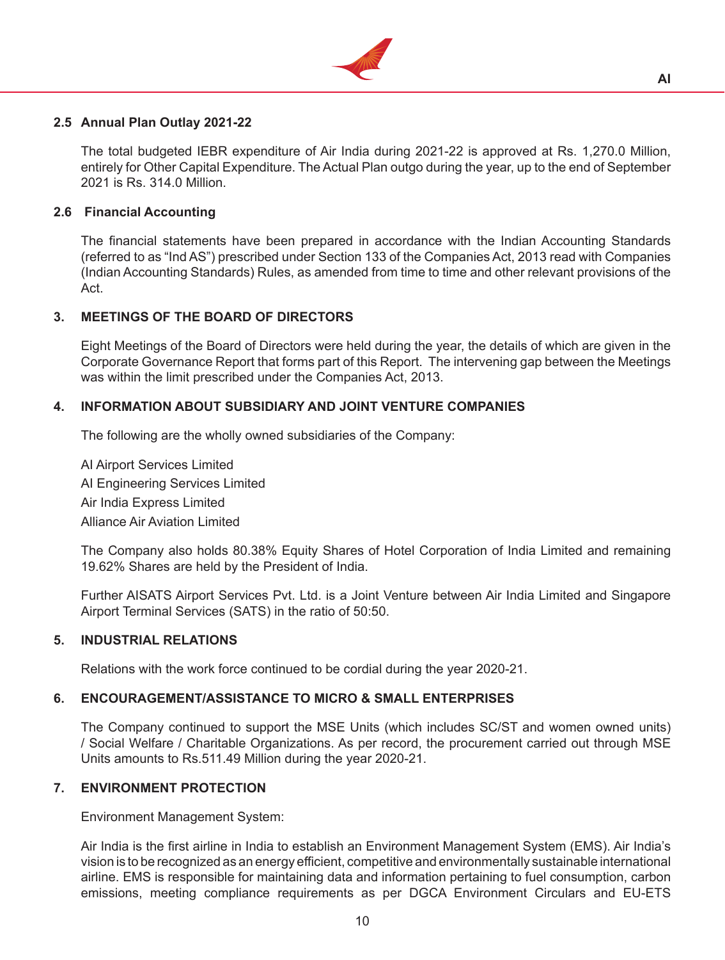

## **2.5 Annual Plan Outlay 2021-22**

 The total budgeted IEBR expenditure of Air India during 2021-22 is approved at Rs. 1,270.0 Million, entirely for Other Capital Expenditure. The Actual Plan outgo during the year, up to the end of September 2021 is Rs. 314.0 Million.

## **2.6 Financial Accounting**

 The financial statements have been prepared in accordance with the Indian Accounting Standards (referred to as "Ind AS") prescribed under Section 133 of the Companies Act, 2013 read with Companies (Indian Accounting Standards) Rules, as amended from time to time and other relevant provisions of the Act.

#### **3. MEETINGS OF THE BOARD OF DIRECTORS**

Eight Meetings of the Board of Directors were held during the year, the details of which are given in the Corporate Governance Report that forms part of this Report. The intervening gap between the Meetings was within the limit prescribed under the Companies Act, 2013.

#### **4. INFORMATION ABOUT SUBSIDIARY AND JOINT VENTURE COMPANIES**

The following are the wholly owned subsidiaries of the Company:

 AI Airport Services Limited AI Engineering Services Limited Air India Express Limited Alliance Air Aviation Limited

 The Company also holds 80.38% Equity Shares of Hotel Corporation of India Limited and remaining 19.62% Shares are held by the President of India.

 Further AISATS Airport Services Pvt. Ltd. is a Joint Venture between Air India Limited and Singapore Airport Terminal Services (SATS) in the ratio of 50:50.

#### **5. INDUSTRIAL RELATIONS**

Relations with the work force continued to be cordial during the year 2020-21.

#### **6. ENCOURAGEMENT/ASSISTANCE TO MICRO & SMALL ENTERPRISES**

The Company continued to support the MSE Units (which includes SC/ST and women owned units) / Social Welfare / Charitable Organizations. As per record, the procurement carried out through MSE Units amounts to Rs.511.49 Million during the year 2020-21.

#### **7. ENVIRONMENT PROTECTION**

Environment Management System:

 Air India is the first airline in India to establish an Environment Management System (EMS). Air India's vision is to be recognized as an energy efficient, competitive and environmentally sustainable international airline. EMS is responsible for maintaining data and information pertaining to fuel consumption, carbon emissions, meeting compliance requirements as per DGCA Environment Circulars and EU-ETS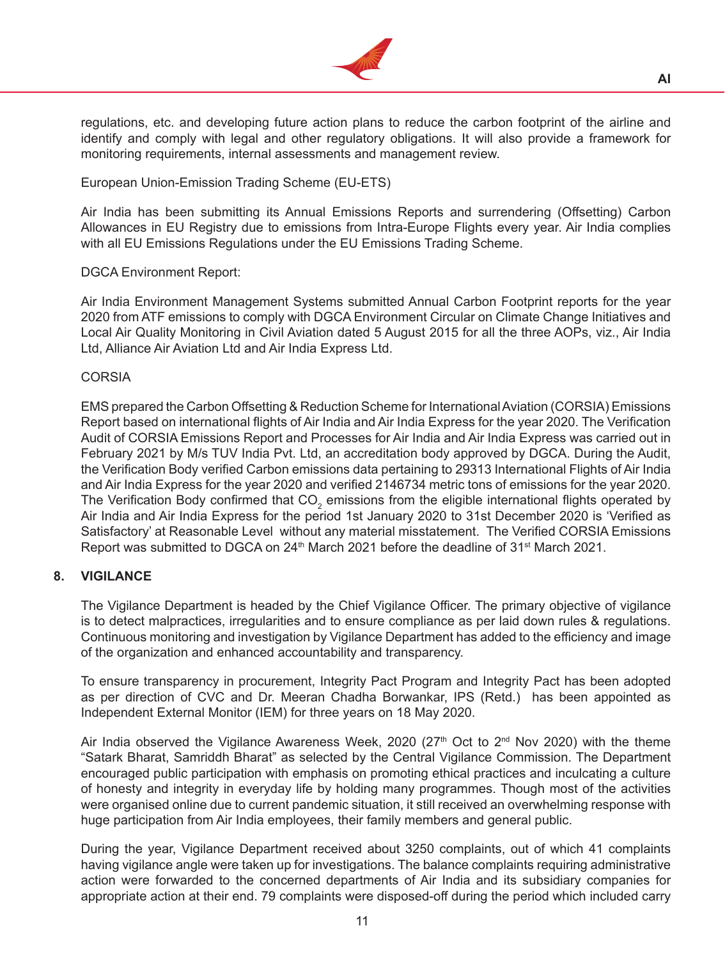

regulations, etc. and developing future action plans to reduce the carbon footprint of the airline and identify and comply with legal and other regulatory obligations. It will also provide a framework for monitoring requirements, internal assessments and management review.

European Union-Emission Trading Scheme (EU-ETS)

 Air India has been submitting its Annual Emissions Reports and surrendering (Offsetting) Carbon Allowances in EU Registry due to emissions from Intra-Europe Flights every year. Air India complies with all EU Emissions Regulations under the EU Emissions Trading Scheme.

## DGCA Environment Report:

 Air India Environment Management Systems submitted Annual Carbon Footprint reports for the year 2020 from ATF emissions to comply with DGCA Environment Circular on Climate Change Initiatives and Local Air Quality Monitoring in Civil Aviation dated 5 August 2015 for all the three AOPs, viz., Air India Ltd, Alliance Air Aviation Ltd and Air India Express Ltd.

## CORSIA

 EMS prepared the Carbon Offsetting & Reduction Scheme for InternationalAviation (CORSIA) Emissions Report based on international flights of Air India and Air India Express for the year 2020. The Verification Audit of CORSIA Emissions Report and Processes for Air India and Air India Express was carried out in February 2021 by M/s TUV India Pvt. Ltd, an accreditation body approved by DGCA. During the Audit, the Verification Body verified Carbon emissions data pertaining to 29313 International Flights of Air India and Air India Express for the year 2020 and verified 2146734 metric tons of emissions for the year 2020. The Verification Body confirmed that CO<sub>2</sub> emissions from the eligible international flights operated by Air India and Air India Express for the period 1st January 2020 to 31st December 2020 is 'Verified as Satisfactory' at Reasonable Level without any material misstatement. The Verified CORSIA Emissions Report was submitted to DGCA on  $24<sup>th</sup>$  March 2021 before the deadline of 31<sup>st</sup> March 2021.

## **8. VIGILANCE**

The Vigilance Department is headed by the Chief Vigilance Officer. The primary objective of vigilance is to detect malpractices, irregularities and to ensure compliance as per laid down rules & regulations. Continuous monitoring and investigation by Vigilance Department has added to the efficiency and image of the organization and enhanced accountability and transparency.

 To ensure transparency in procurement, Integrity Pact Program and Integrity Pact has been adopted as per direction of CVC and Dr. Meeran Chadha Borwankar, IPS (Retd.) has been appointed as Independent External Monitor (IEM) for three years on 18 May 2020.

Air India observed the Vigilance Awareness Week, 2020 ( $27<sup>th</sup>$  Oct to  $2<sup>nd</sup>$  Nov 2020) with the theme "Satark Bharat, Samriddh Bharat" as selected by the Central Vigilance Commission. The Department encouraged public participation with emphasis on promoting ethical practices and inculcating a culture of honesty and integrity in everyday life by holding many programmes. Though most of the activities were organised online due to current pandemic situation, it still received an overwhelming response with huge participation from Air India employees, their family members and general public.

 During the year, Vigilance Department received about 3250 complaints, out of which 41 complaints having vigilance angle were taken up for investigations. The balance complaints requiring administrative action were forwarded to the concerned departments of Air India and its subsidiary companies for appropriate action at their end. 79 complaints were disposed-off during the period which included carry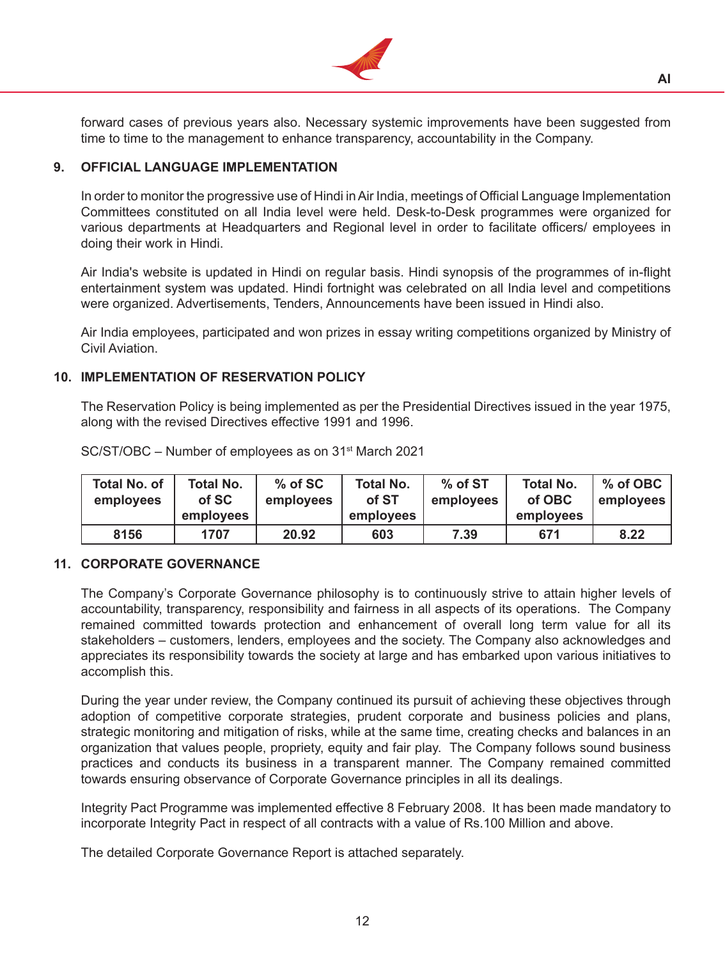

forward cases of previous years also. Necessary systemic improvements have been suggested from time to time to the management to enhance transparency, accountability in the Company.

#### **9. OFFICIAL LANGUAGE IMPLEMENTATION**

In order to monitor the progressive use of Hindi in Air India, meetings of Official Language Implementation Committees constituted on all India level were held. Desk-to-Desk programmes were organized for various departments at Headquarters and Regional level in order to facilitate officers/ employees in doing their work in Hindi.

 Air India's website is updated in Hindi on regular basis. Hindi synopsis of the programmes of in-flight entertainment system was updated. Hindi fortnight was celebrated on all India level and competitions were organized. Advertisements, Tenders, Announcements have been issued in Hindi also.

 Air India employees, participated and won prizes in essay writing competitions organized by Ministry of Civil Aviation.

## **10. IMPLEMENTATION OF RESERVATION POLICY**

The Reservation Policy is being implemented as per the Presidential Directives issued in the year 1975, along with the revised Directives effective 1991 and 1996.

| <b>Total No. of</b><br>employees | <b>Total No.</b><br>of SC | $%$ of SC<br>employees | <b>Total No.</b><br>of ST | % of ST<br><b>Total No.</b><br>of OBC<br>employees |           | % of OBC<br>employees |
|----------------------------------|---------------------------|------------------------|---------------------------|----------------------------------------------------|-----------|-----------------------|
|                                  | employees                 |                        | employees                 |                                                    | employees |                       |
| 8156                             | 1707                      | 20.92                  | 603                       | 7.39                                               | 671       | 8.22                  |

 SC/ST/OBC – Number of employees as on 31st March 2021

#### **11. CORPORATE GOVERNANCE**

The Company's Corporate Governance philosophy is to continuously strive to attain higher levels of accountability, transparency, responsibility and fairness in all aspects of its operations. The Company remained committed towards protection and enhancement of overall long term value for all its stakeholders – customers, lenders, employees and the society. The Company also acknowledges and appreciates its responsibility towards the society at large and has embarked upon various initiatives to accomplish this.

 During the year under review, the Company continued its pursuit of achieving these objectives through adoption of competitive corporate strategies, prudent corporate and business policies and plans, strategic monitoring and mitigation of risks, while at the same time, creating checks and balances in an organization that values people, propriety, equity and fair play. The Company follows sound business practices and conducts its business in a transparent manner. The Company remained committed towards ensuring observance of Corporate Governance principles in all its dealings.

 Integrity Pact Programme was implemented effective 8 February 2008. It has been made mandatory to incorporate Integrity Pact in respect of all contracts with a value of Rs.100 Million and above.

The detailed Corporate Governance Report is attached separately.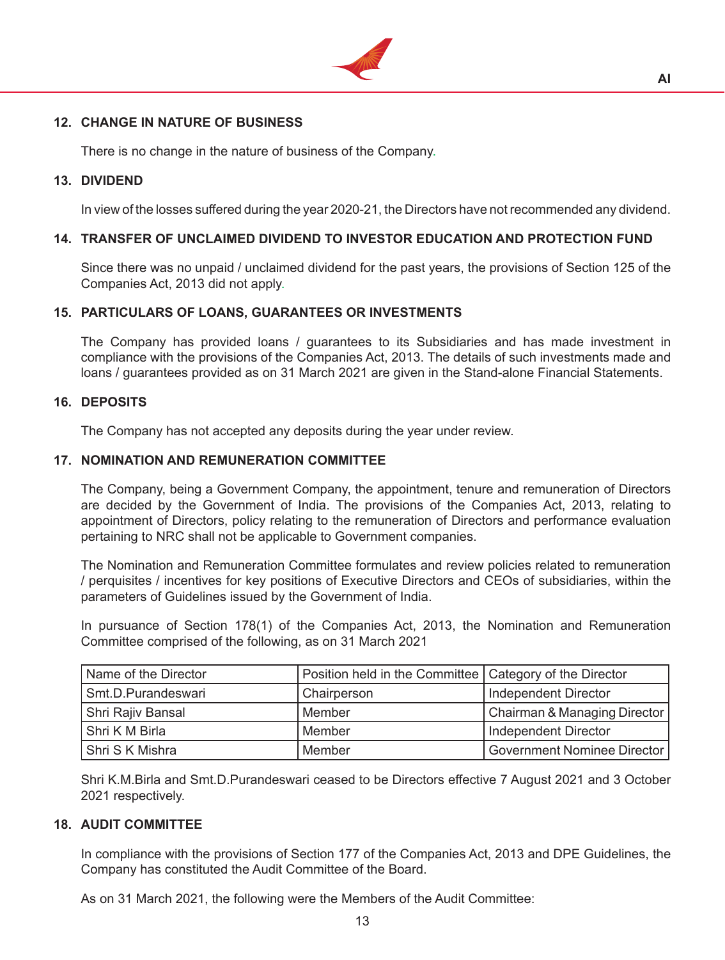

## **12. CHANGE IN NATURE OF BUSINESS**

There is no change in the nature of business of the Company.

#### **13. DIVIDEND**

In view of the losses suffered during the year 2020-21, the Directors have not recommended any dividend.

## **14. TRANSFER OF UNCLAIMED DIVIDEND TO INVESTOR EDUCATION AND PROTECTION FUND**

Since there was no unpaid / unclaimed dividend for the past years, the provisions of Section 125 of the Companies Act, 2013 did not apply.

#### **15. PARTICULARS OF LOANS, GUARANTEES OR INVESTMENTS**

The Company has provided loans / guarantees to its Subsidiaries and has made investment in compliance with the provisions of the Companies Act, 2013. The details of such investments made and loans / guarantees provided as on 31 March 2021 are given in the Stand-alone Financial Statements.

#### **16. DEPOSITS**

The Company has not accepted any deposits during the year under review.

#### **17. NOMINATION AND REMUNERATION COMMITTEE**

The Company, being a Government Company, the appointment, tenure and remuneration of Directors are decided by the Government of India. The provisions of the Companies Act, 2013, relating to appointment of Directors, policy relating to the remuneration of Directors and performance evaluation pertaining to NRC shall not be applicable to Government companies.

The Nomination and Remuneration Committee formulates and review policies related to remuneration / perquisites / incentives for key positions of Executive Directors and CEOs of subsidiaries, within the parameters of Guidelines issued by the Government of India.

 In pursuance of Section 178(1) of the Companies Act, 2013, the Nomination and Remuneration Committee comprised of the following, as on 31 March 2021

| Name of the Director | Position held in the Committee   Category of the Director |                              |
|----------------------|-----------------------------------------------------------|------------------------------|
| Smt.D.Purandeswari   | Chairperson                                               | Independent Director         |
| Shri Rajiv Bansal    | Member                                                    | Chairman & Managing Director |
| Shri K M Birla       | Member                                                    | Independent Director         |
| l Shri S K Mishra    | Member                                                    | Government Nominee Director  |

 Shri K.M.Birla and Smt.D.Purandeswari ceased to be Directors effective 7 August 2021 and 3 October 2021 respectively.

## **18. AUDIT COMMITTEE**

In compliance with the provisions of Section 177 of the Companies Act, 2013 and DPE Guidelines, the Company has constituted the Audit Committee of the Board.

 As on 31 March 2021, the following were the Members of the Audit Committee: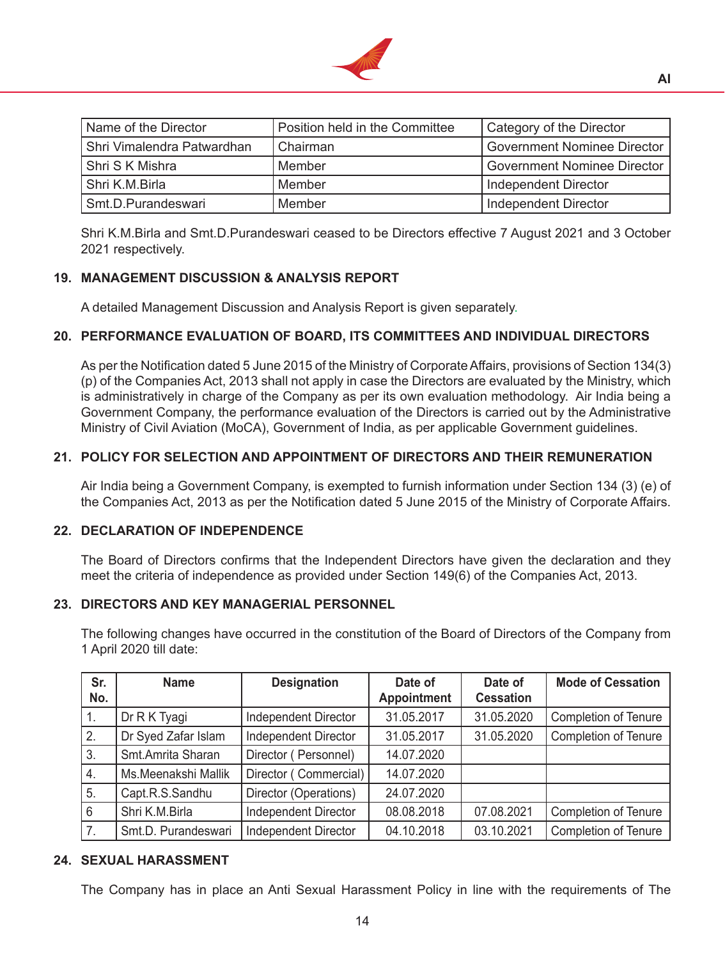

| Name of the Director       | Position held in the Committee | Category of the Director      |
|----------------------------|--------------------------------|-------------------------------|
| Shri Vimalendra Patwardhan | Chairman                       | Government Nominee Director   |
| Shri S K Mishra            | Member                         | l Government Nominee Director |
| Shri K.M.Birla             | Member                         | Independent Director          |
| Smt.D.Purandeswari         | Member                         | Independent Director          |

 Shri K.M.Birla and Smt.D.Purandeswari ceased to be Directors effective 7 August 2021 and 3 October 2021 respectively.

## **19. MANAGEMENT DISCUSSION & ANALYSIS REPORT**

A detailed Management Discussion and Analysis Report is given separately.

## **20. PERFORMANCE EVALUATION OF BOARD, ITS COMMITTEES AND INDIVIDUAL DIRECTORS**

As per the Notification dated 5 June 2015 of the Ministry of CorporateAffairs, provisions of Section 134(3) (p) of the Companies Act, 2013 shall not apply in case the Directors are evaluated by the Ministry, which is administratively in charge of the Company as per its own evaluation methodology. Air India being a Government Company, the performance evaluation of the Directors is carried out by the Administrative Ministry of Civil Aviation (MoCA), Government of India, as per applicable Government guidelines.

## **21. POLICY FOR SELECTION AND APPOINTMENT OF DIRECTORS AND THEIR REMUNERATION**

Air India being a Government Company, is exempted to furnish information under Section 134 (3) (e) of the Companies Act, 2013 as per the Notification dated 5 June 2015 of the Ministry of Corporate Affairs.

#### **22. DECLARATION OF INDEPENDENCE**

The Board of Directors confirms that the Independent Directors have given the declaration and they meet the criteria of independence as provided under Section 149(6) of the Companies Act, 2013.

## **23. DIRECTORS AND KEY MANAGERIAL PERSONNEL**

The following changes have occurred in the constitution of the Board of Directors of the Company from 1 April 2020 till date:

| Sr.<br>No.       | <b>Name</b>         | <b>Designation</b>          | Date of<br>Appointment | Date of<br><b>Cessation</b> | <b>Mode of Cessation</b>    |
|------------------|---------------------|-----------------------------|------------------------|-----------------------------|-----------------------------|
| $\overline{1}$ . | Dr R K Tyagi        | <b>Independent Director</b> | 31.05.2017             | 31.05.2020                  | Completion of Tenure        |
| 2.               | Dr Syed Zafar Islam | <b>Independent Director</b> | 31.05.2017             | 31.05.2020                  | <b>Completion of Tenure</b> |
| l 3.             | Smt.Amrita Sharan   | Director (Personnel)        | 14.07.2020             |                             |                             |
| 4.               | Ms.Meenakshi Mallik | Director (Commercial)       | 14.07.2020             |                             |                             |
| 5.               | Capt.R.S.Sandhu     | Director (Operations)       | 24.07.2020             |                             |                             |
| 6                | Shri K.M.Birla      | <b>Independent Director</b> | 08.08.2018             | 07.08.2021                  | <b>Completion of Tenure</b> |
| $\overline{7}$ . | Smt.D. Purandeswari | <b>Independent Director</b> | 04.10.2018             | 03.10.2021                  | <b>Completion of Tenure</b> |

#### **24. SEXUAL HARASSMENT**

The Company has in place an Anti Sexual Harassment Policy in line with the requirements of The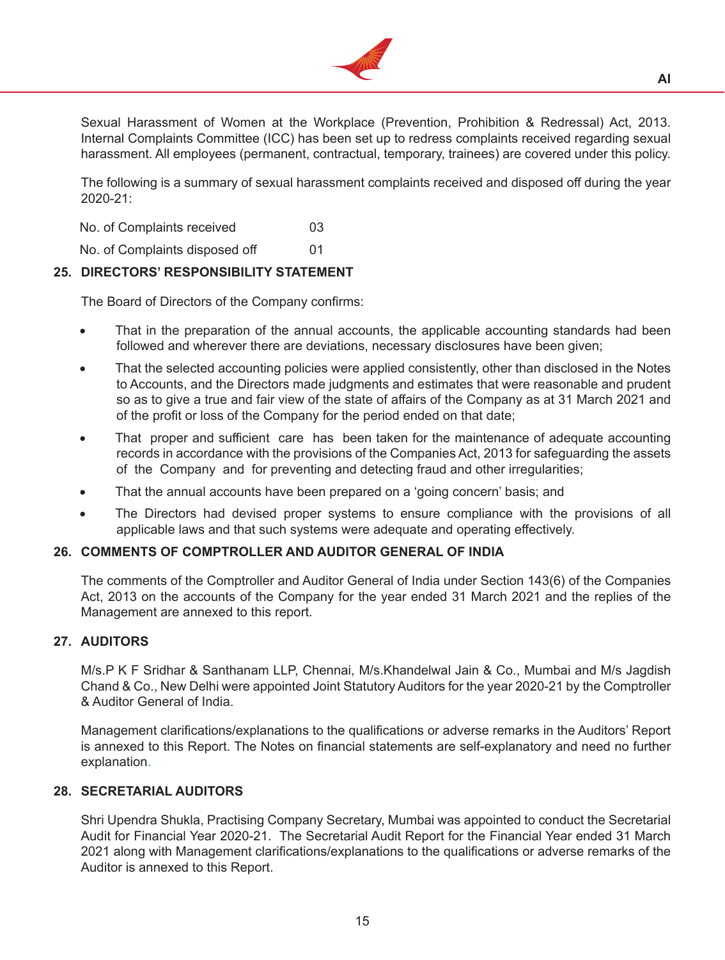

Sexual Harassment of Women at the Workplace (Prevention, Prohibition & Redressal) Act, 2013. Internal Complaints Committee (ICC) has been set up to redress complaints received regarding sexual harassment. All employees (permanent, contractual, temporary, trainees) are covered under this policy.

 The following is a summary of sexual harassment complaints received and disposed off during the year  $2020 - 21$ 

No. of Complaints received 03

No. of Complaints disposed off 01

## **25. DIRECTORS' RESPONSIBILITY STATEMENT**

The Board of Directors of the Company confirms:

- That in the preparation of the annual accounts, the applicable accounting standards had been followed and wherever there are deviations, necessary disclosures have been given;
- That the selected accounting policies were applied consistently, other than disclosed in the Notes to Accounts, and the Directors made judgments and estimates that were reasonable and prudent so as to give a true and fair view of the state of affairs of the Company as at 31 March 2021 and of the profit or loss of the Company for the period ended on that date;
- That proper and sufficient care has been taken for the maintenance of adequate accounting records in accordance with the provisions of the Companies Act, 2013 for safeguarding the assets of the Company and for preventing and detecting fraud and other irregularities;
- That the annual accounts have been prepared on a 'going concern' basis; and
- The Directors had devised proper systems to ensure compliance with the provisions of all applicable laws and that such systems were adequate and operating effectively.

## **26. COMMENTS OF COMPTROLLER AND AUDITOR GENERAL OF INDIA**

The comments of the Comptroller and Auditor General of India under Section 143(6) of the Companies Act, 2013 on the accounts of the Company for the year ended 31 March 2021 and the replies of the Management are annexed to this report.

## **27. AUDITORS**

M/s.P K F Sridhar & Santhanam LLP, Chennai, M/s.Khandelwal Jain & Co., Mumbai and M/s Jagdish Chand & Co., New Delhi were appointed Joint Statutory Auditors for the year 2020-21 by the Comptroller & Auditor General of India.

 Management clarifications/explanations to the qualifications or adverse remarks in the Auditors' Report is annexed to this Report. The Notes on financial statements are self-explanatory and need no further explanation.

#### **28. SECRETARIAL AUDITORS**

Shri Upendra Shukla, Practising Company Secretary, Mumbai was appointed to conduct the Secretarial Audit for Financial Year 2020-21. The Secretarial Audit Report for the Financial Year ended 31 March 2021 along with Management clarifications/explanations to the qualifications or adverse remarks of the Auditor is annexed to this Report.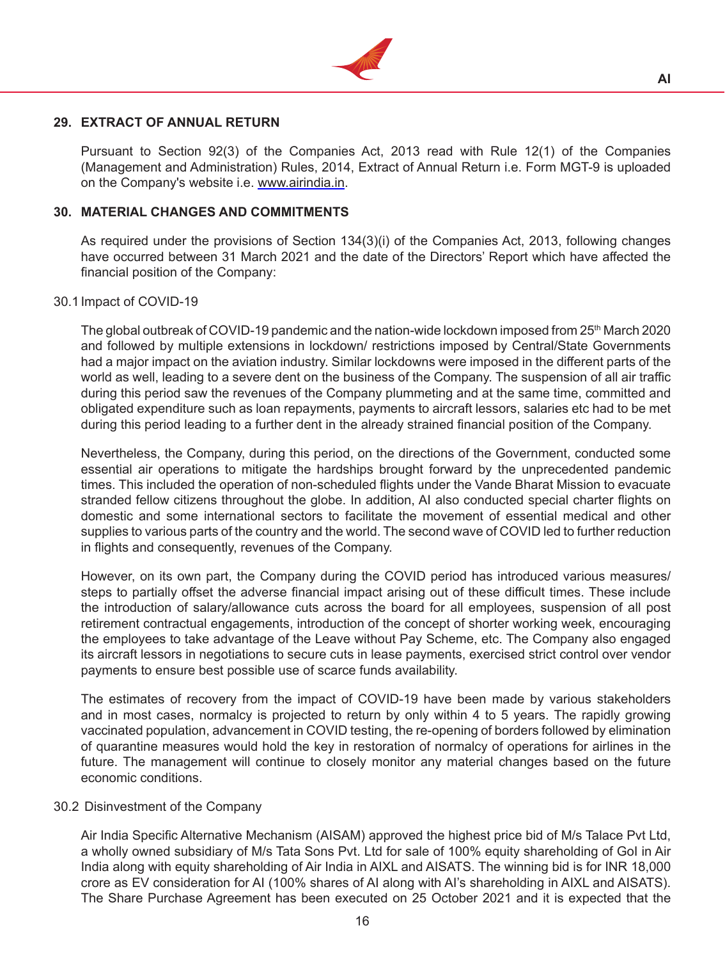

## **29. EXTRACT OF ANNUAL RETURN**

Pursuant to Section 92(3) of the Companies Act, 2013 read with Rule 12(1) of the Companies (Management and Administration) Rules, 2014, Extract of Annual Return i.e. Form MGT-9 is uploaded on the Company's website i.e. www.airindia.in.

## **30. MATERIAL CHANGES AND COMMITMENTS**

As required under the provisions of Section 134(3)(i) of the Companies Act, 2013, following changes have occurred between 31 March 2021 and the date of the Directors' Report which have affected the financial position of the Company:

#### 30.1 Impact of COVID-19

The global outbreak of COVID-19 pandemic and the nation-wide lockdown imposed from  $25<sup>th</sup>$  March 2020 and followed by multiple extensions in lockdown/ restrictions imposed by Central/State Governments had a major impact on the aviation industry. Similar lockdowns were imposed in the different parts of the world as well, leading to a severe dent on the business of the Company. The suspension of all air traffic during this period saw the revenues of the Company plummeting and at the same time, committed and obligated expenditure such as loan repayments, payments to aircraft lessors, salaries etc had to be met during this period leading to a further dent in the already strained financial position of the Company.

 Nevertheless, the Company, during this period, on the directions of the Government, conducted some essential air operations to mitigate the hardships brought forward by the unprecedented pandemic times. This included the operation of non-scheduled flights under the Vande Bharat Mission to evacuate stranded fellow citizens throughout the globe. In addition, AI also conducted special charter flights on domestic and some international sectors to facilitate the movement of essential medical and other supplies to various parts of the country and the world. The second wave of COVID led to further reduction in flights and consequently, revenues of the Company.

 However, on its own part, the Company during the COVID period has introduced various measures/ steps to partially offset the adverse financial impact arising out of these difficult times. These include the introduction of salary/allowance cuts across the board for all employees, suspension of all post retirement contractual engagements, introduction of the concept of shorter working week, encouraging the employees to take advantage of the Leave without Pay Scheme, etc. The Company also engaged its aircraft lessors in negotiations to secure cuts in lease payments, exercised strict control over vendor payments to ensure best possible use of scarce funds availability.

 The estimates of recovery from the impact of COVID-19 have been made by various stakeholders and in most cases, normalcy is projected to return by only within 4 to 5 years. The rapidly growing vaccinated population, advancement in COVID testing, the re-opening of borders followed by elimination of quarantine measures would hold the key in restoration of normalcy of operations for airlines in the future. The management will continue to closely monitor any material changes based on the future economic conditions.

#### 30.2 Disinvestment of the Company

 Air India Specific Alternative Mechanism (AISAM) approved the highest price bid of M/s Talace Pvt Ltd, a wholly owned subsidiary of M/s Tata Sons Pvt. Ltd for sale of 100% equity shareholding of GoI in Air India along with equity shareholding of Air India in AIXL and AISATS. The winning bid is for INR 18,000 crore as EV consideration for AI (100% shares of AI along with AI's shareholding in AIXL and AISATS). The Share Purchase Agreement has been executed on 25 October 2021 and it is expected that the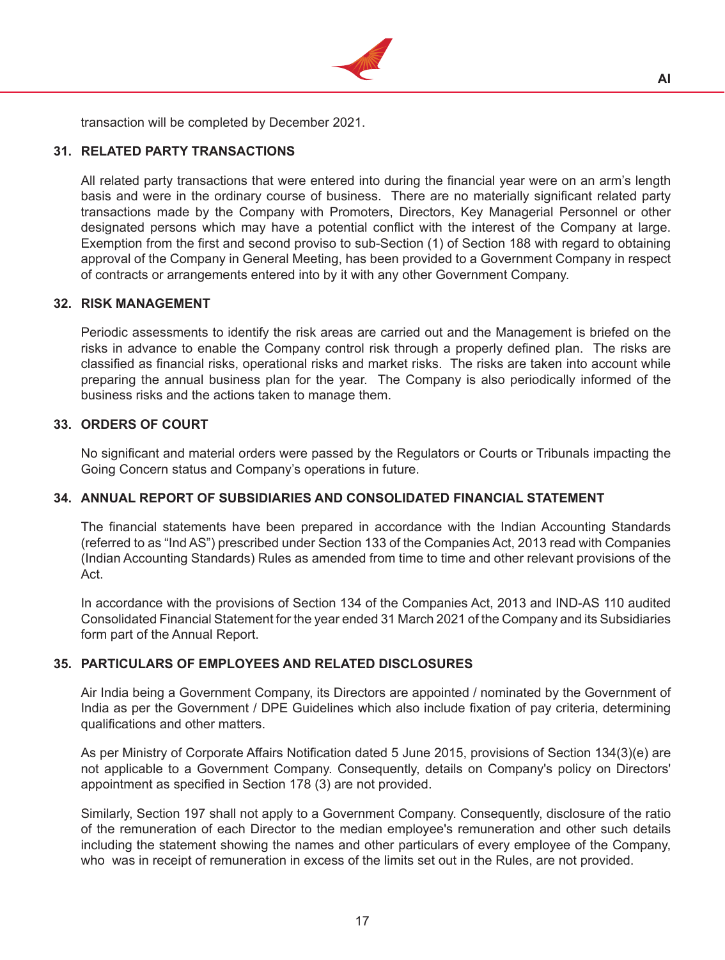

transaction will be completed by December 2021.

## **31. RELATED PARTY TRANSACTIONS**

All related party transactions that were entered into during the financial year were on an arm's length basis and were in the ordinary course of business. There are no materially significant related party transactions made by the Company with Promoters, Directors, Key Managerial Personnel or other designated persons which may have a potential conflict with the interest of the Company at large. Exemption from the first and second proviso to sub-Section (1) of Section 188 with regard to obtaining approval of the Company in General Meeting, has been provided to a Government Company in respect of contracts or arrangements entered into by it with any other Government Company.

## **32. RISK MANAGEMENT**

Periodic assessments to identify the risk areas are carried out and the Management is briefed on the risks in advance to enable the Company control risk through a properly defined plan. The risks are classified as financial risks, operational risks and market risks. The risks are taken into account while preparing the annual business plan for the year. The Company is also periodically informed of the business risks and the actions taken to manage them.

## **33. ORDERS OF COURT**

No significant and material orders were passed by the Regulators or Courts or Tribunals impacting the Going Concern status and Company's operations in future.

#### **34. ANNUAL REPORT OF SUBSIDIARIES AND CONSOLIDATED FINANCIAL STATEMENT**

The financial statements have been prepared in accordance with the Indian Accounting Standards (referred to as "Ind AS") prescribed under Section 133 of the Companies Act, 2013 read with Companies (Indian Accounting Standards) Rules as amended from time to time and other relevant provisions of the Act.

 In accordance with the provisions of Section 134 of the Companies Act, 2013 and IND-AS 110 audited Consolidated Financial Statement for the year ended 31 March 2021 of the Company and its Subsidiaries form part of the Annual Report.

## **35. PARTICULARS OF EMPLOYEES AND RELATED DISCLOSURES**

Air India being a Government Company, its Directors are appointed / nominated by the Government of India as per the Government / DPE Guidelines which also include fixation of pay criteria, determining qualifications and other matters.

 As per Ministry of Corporate Affairs Notification dated 5 June 2015, provisions of Section 134(3)(e) are not applicable to a Government Company. Consequently, details on Company's policy on Directors' appointment as specified in Section 178 (3) are not provided.

 Similarly, Section 197 shall not apply to a Government Company. Consequently, disclosure of the ratio of the remuneration of each Director to the median employee's remuneration and other such details including the statement showing the names and other particulars of every employee of the Company, who was in receipt of remuneration in excess of the limits set out in the Rules, are not provided.

**AI**